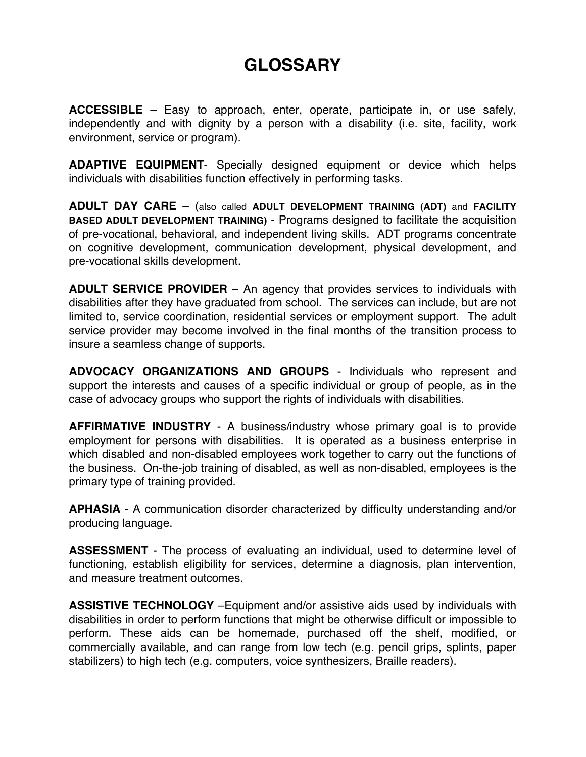## **GLOSSARY**

**ACCESSIBLE** – Easy to approach, enter, operate, participate in, or use safely, independently and with dignity by a person with a disability (i.e. site, facility, work environment, service or program).

**ADAPTIVE EQUIPMENT**- Specially designed equipment or device which helps individuals with disabilities function effectively in performing tasks.

**ADULT DAY CARE** – (also called **ADULT DEVELOPMENT TRAINING (ADT)** and **FACILITY BASED ADULT DEVELOPMENT TRAINING)** - Programs designed to facilitate the acquisition of pre-vocational, behavioral, and independent living skills. ADT programs concentrate on cognitive development, communication development, physical development, and pre-vocational skills development.

**ADULT SERVICE PROVIDER** – An agency that provides services to individuals with disabilities after they have graduated from school. The services can include, but are not limited to, service coordination, residential services or employment support. The adult service provider may become involved in the final months of the transition process to insure a seamless change of supports.

**ADVOCACY ORGANIZATIONS AND GROUPS** - Individuals who represent and support the interests and causes of a specific individual or group of people, as in the case of advocacy groups who support the rights of individuals with disabilities.

**AFFIRMATIVE INDUSTRY** - A business/industry whose primary goal is to provide employment for persons with disabilities. It is operated as a business enterprise in which disabled and non-disabled employees work together to carry out the functions of the business. On-the-job training of disabled, as well as non-disabled, employees is the primary type of training provided.

**APHASIA** - A communication disorder characterized by difficulty understanding and/or producing language.

**ASSESSMENT** - The process of evaluating an individual, used to determine level of functioning, establish eligibility for services, determine a diagnosis, plan intervention, and measure treatment outcomes.

**ASSISTIVE TECHNOLOGY** –Equipment and/or assistive aids used by individuals with disabilities in order to perform functions that might be otherwise difficult or impossible to perform. These aids can be homemade, purchased off the shelf, modified, or commercially available, and can range from low tech (e.g. pencil grips, splints, paper stabilizers) to high tech (e.g. computers, voice synthesizers, Braille readers).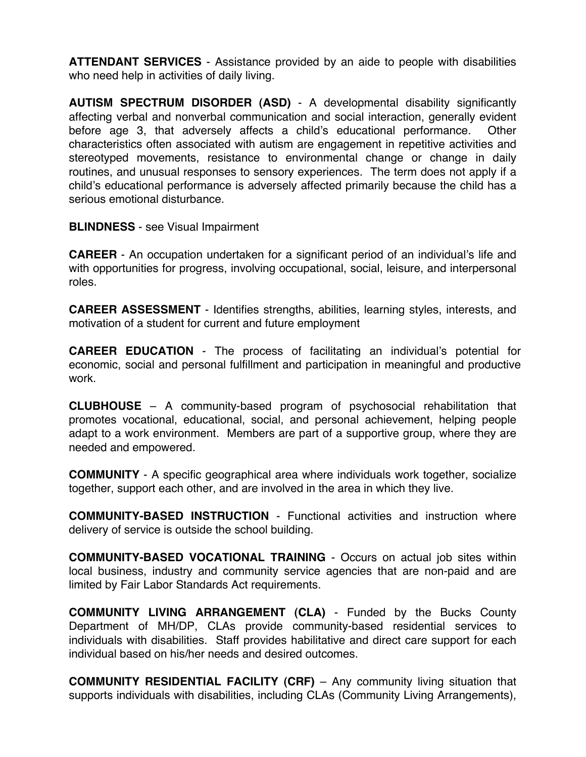**ATTENDANT SERVICES** - Assistance provided by an aide to people with disabilities who need help in activities of daily living.

**AUTISM SPECTRUM DISORDER (ASD)** - A developmental disability significantly affecting verbal and nonverbal communication and social interaction, generally evident before age 3, that adversely affects a child's educational performance. Other characteristics often associated with autism are engagement in repetitive activities and stereotyped movements, resistance to environmental change or change in daily routines, and unusual responses to sensory experiences. The term does not apply if a child's educational performance is adversely affected primarily because the child has a serious emotional disturbance.

**BLINDNESS** - see Visual Impairment

**CAREER** - An occupation undertaken for a significant period of an individual's life and with opportunities for progress, involving occupational, social, leisure, and interpersonal roles.

**CAREER ASSESSMENT** - Identifies strengths, abilities, learning styles, interests, and motivation of a student for current and future employment

**CAREER EDUCATION** - The process of facilitating an individual's potential for economic, social and personal fulfillment and participation in meaningful and productive work.

**CLUBHOUSE** – A community-based program of psychosocial rehabilitation that promotes vocational, educational, social, and personal achievement, helping people adapt to a work environment. Members are part of a supportive group, where they are needed and empowered.

**COMMUNITY** - A specific geographical area where individuals work together, socialize together, support each other, and are involved in the area in which they live.

**COMMUNITY-BASED INSTRUCTION** - Functional activities and instruction where delivery of service is outside the school building.

**COMMUNITY-BASED VOCATIONAL TRAINING** - Occurs on actual job sites within local business, industry and community service agencies that are non-paid and are limited by Fair Labor Standards Act requirements.

**COMMUNITY LIVING ARRANGEMENT (CLA)** - Funded by the Bucks County Department of MH/DP, CLAs provide community-based residential services to individuals with disabilities. Staff provides habilitative and direct care support for each individual based on his/her needs and desired outcomes.

**COMMUNITY RESIDENTIAL FACILITY (CRF)** – Any community living situation that supports individuals with disabilities, including CLAs (Community Living Arrangements),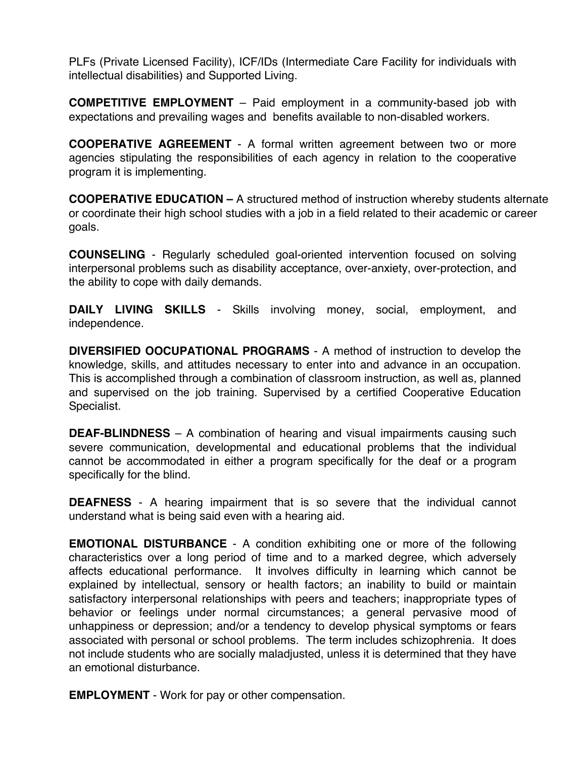PLFs (Private Licensed Facility), ICF/IDs (Intermediate Care Facility for individuals with intellectual disabilities) and Supported Living.

**COMPETITIVE EMPLOYMENT** – Paid employment in a community-based job with expectations and prevailing wages and benefits available to non-disabled workers.

**COOPERATIVE AGREEMENT** - A formal written agreement between two or more agencies stipulating the responsibilities of each agency in relation to the cooperative program it is implementing.

**COOPERATIVE EDUCATION –** A structured method of instruction whereby students alternate or coordinate their high school studies with a job in a field related to their academic or career goals.

**COUNSELING** - Regularly scheduled goal-oriented intervention focused on solving interpersonal problems such as disability acceptance, over-anxiety, over-protection, and the ability to cope with daily demands.

**DAILY LIVING SKILLS** - Skills involving money, social, employment, and independence.

**DIVERSIFIED OOCUPATIONAL PROGRAMS** - A method of instruction to develop the knowledge, skills, and attitudes necessary to enter into and advance in an occupation. This is accomplished through a combination of classroom instruction, as well as, planned and supervised on the job training. Supervised by a certified Cooperative Education Specialist.

**DEAF-BLINDNESS** – A combination of hearing and visual impairments causing such severe communication, developmental and educational problems that the individual cannot be accommodated in either a program specifically for the deaf or a program specifically for the blind.

**DEAFNESS** - A hearing impairment that is so severe that the individual cannot understand what is being said even with a hearing aid.

**EMOTIONAL DISTURBANCE** - A condition exhibiting one or more of the following characteristics over a long period of time and to a marked degree, which adversely affects educational performance. It involves difficulty in learning which cannot be explained by intellectual, sensory or health factors; an inability to build or maintain satisfactory interpersonal relationships with peers and teachers; inappropriate types of behavior or feelings under normal circumstances; a general pervasive mood of unhappiness or depression; and/or a tendency to develop physical symptoms or fears associated with personal or school problems. The term includes schizophrenia. It does not include students who are socially maladjusted, unless it is determined that they have an emotional disturbance.

**EMPLOYMENT** - Work for pay or other compensation.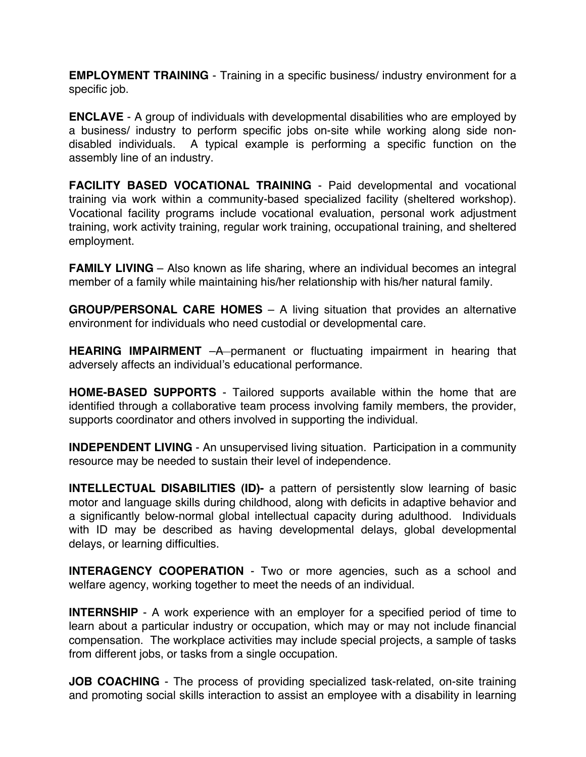**EMPLOYMENT TRAINING** - Training in a specific business/ industry environment for a specific job.

**ENCLAVE** - A group of individuals with developmental disabilities who are employed by a business/ industry to perform specific jobs on-site while working along side nondisabled individuals. A typical example is performing a specific function on the assembly line of an industry.

**FACILITY BASED VOCATIONAL TRAINING** - Paid developmental and vocational training via work within a community-based specialized facility (sheltered workshop). Vocational facility programs include vocational evaluation, personal work adjustment training, work activity training, regular work training, occupational training, and sheltered employment.

**FAMILY LIVING** – Also known as life sharing, where an individual becomes an integral member of a family while maintaining his/her relationship with his/her natural family.

**GROUP/PERSONAL CARE HOMES** – A living situation that provides an alternative environment for individuals who need custodial or developmental care.

**HEARING IMPAIRMENT** -A permanent or fluctuating impairment in hearing that adversely affects an individual's educational performance.

**HOME-BASED SUPPORTS** - Tailored supports available within the home that are identified through a collaborative team process involving family members, the provider, supports coordinator and others involved in supporting the individual.

**INDEPENDENT LIVING** - An unsupervised living situation. Participation in a community resource may be needed to sustain their level of independence.

**INTELLECTUAL DISABILITIES (ID)-** a pattern of persistently slow learning of basic motor and language skills during childhood, along with deficits in adaptive behavior and a significantly below-normal global intellectual capacity during adulthood. Individuals with ID may be described as having developmental delays, global developmental delays, or learning difficulties.

**INTERAGENCY COOPERATION** - Two or more agencies, such as a school and welfare agency, working together to meet the needs of an individual.

**INTERNSHIP** - A work experience with an employer for a specified period of time to learn about a particular industry or occupation, which may or may not include financial compensation. The workplace activities may include special projects, a sample of tasks from different jobs, or tasks from a single occupation.

**JOB COACHING** - The process of providing specialized task-related, on-site training and promoting social skills interaction to assist an employee with a disability in learning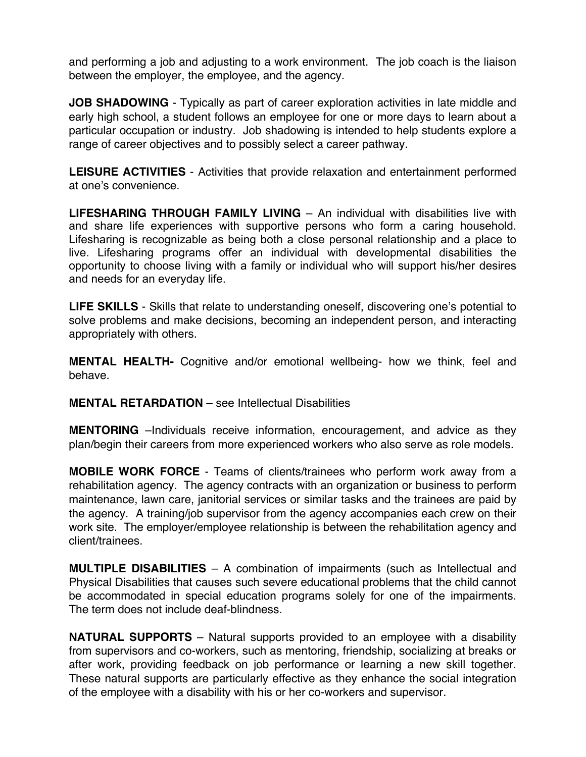and performing a job and adjusting to a work environment. The job coach is the liaison between the employer, the employee, and the agency.

**JOB SHADOWING** - Typically as part of career exploration activities in late middle and early high school, a student follows an employee for one or more days to learn about a particular occupation or industry. Job shadowing is intended to help students explore a range of career objectives and to possibly select a career pathway.

**LEISURE ACTIVITIES** - Activities that provide relaxation and entertainment performed at one's convenience.

**LIFESHARING THROUGH FAMILY LIVING** – An individual with disabilities live with and share life experiences with supportive persons who form a caring household. Lifesharing is recognizable as being both a close personal relationship and a place to live. Lifesharing programs offer an individual with developmental disabilities the opportunity to choose living with a family or individual who will support his/her desires and needs for an everyday life.

**LIFE SKILLS** - Skills that relate to understanding oneself, discovering one's potential to solve problems and make decisions, becoming an independent person, and interacting appropriately with others.

**MENTAL HEALTH-** Cognitive and/or emotional wellbeing- how we think, feel and behave.

**MENTAL RETARDATION** – see Intellectual Disabilities

**MENTORING** –Individuals receive information, encouragement, and advice as they plan/begin their careers from more experienced workers who also serve as role models.

**MOBILE WORK FORCE** - Teams of clients/trainees who perform work away from a rehabilitation agency. The agency contracts with an organization or business to perform maintenance, lawn care, janitorial services or similar tasks and the trainees are paid by the agency. A training/job supervisor from the agency accompanies each crew on their work site. The employer/employee relationship is between the rehabilitation agency and client/trainees.

**MULTIPLE DISABILITIES** – A combination of impairments (such as Intellectual and Physical Disabilities that causes such severe educational problems that the child cannot be accommodated in special education programs solely for one of the impairments. The term does not include deaf-blindness.

**NATURAL SUPPORTS** – Natural supports provided to an employee with a disability from supervisors and co-workers, such as mentoring, friendship, socializing at breaks or after work, providing feedback on job performance or learning a new skill together. These natural supports are particularly effective as they enhance the social integration of the employee with a disability with his or her co-workers and supervisor.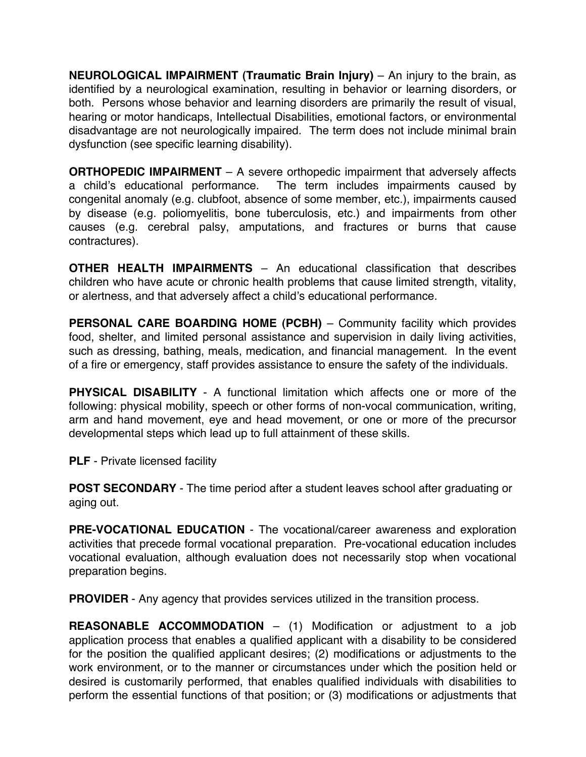**NEUROLOGICAL IMPAIRMENT (Traumatic Brain Injury)** – An injury to the brain, as identified by a neurological examination, resulting in behavior or learning disorders, or both. Persons whose behavior and learning disorders are primarily the result of visual, hearing or motor handicaps, Intellectual Disabilities, emotional factors, or environmental disadvantage are not neurologically impaired. The term does not include minimal brain dysfunction (see specific learning disability).

**ORTHOPEDIC IMPAIRMENT** – A severe orthopedic impairment that adversely affects a child's educational performance. The term includes impairments caused by congenital anomaly (e.g. clubfoot, absence of some member, etc.), impairments caused by disease (e.g. poliomyelitis, bone tuberculosis, etc.) and impairments from other causes (e.g. cerebral palsy, amputations, and fractures or burns that cause contractures).

**OTHER HEALTH IMPAIRMENTS** – An educational classification that describes children who have acute or chronic health problems that cause limited strength, vitality, or alertness, and that adversely affect a child's educational performance.

**PERSONAL CARE BOARDING HOME (PCBH)** – Community facility which provides food, shelter, and limited personal assistance and supervision in daily living activities, such as dressing, bathing, meals, medication, and financial management. In the event of a fire or emergency, staff provides assistance to ensure the safety of the individuals.

**PHYSICAL DISABILITY** - A functional limitation which affects one or more of the following: physical mobility, speech or other forms of non-vocal communication, writing, arm and hand movement, eye and head movement, or one or more of the precursor developmental steps which lead up to full attainment of these skills.

**PLF** - Private licensed facility

**POST SECONDARY** - The time period after a student leaves school after graduating or aging out.

**PRE-VOCATIONAL EDUCATION** - The vocational/career awareness and exploration activities that precede formal vocational preparation. Pre-vocational education includes vocational evaluation, although evaluation does not necessarily stop when vocational preparation begins.

**PROVIDER** - Any agency that provides services utilized in the transition process.

**REASONABLE ACCOMMODATION** – (1) Modification or adjustment to a job application process that enables a qualified applicant with a disability to be considered for the position the qualified applicant desires; (2) modifications or adjustments to the work environment, or to the manner or circumstances under which the position held or desired is customarily performed, that enables qualified individuals with disabilities to perform the essential functions of that position; or (3) modifications or adjustments that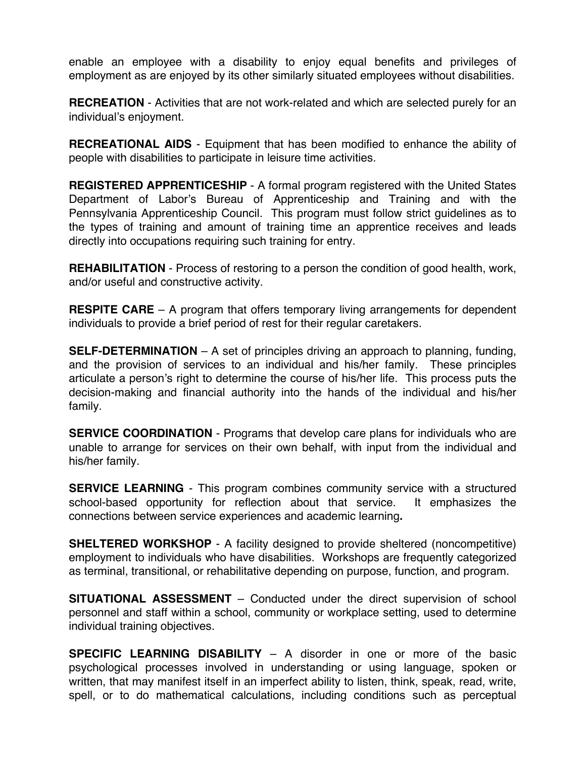enable an employee with a disability to enjoy equal benefits and privileges of employment as are enjoyed by its other similarly situated employees without disabilities.

**RECREATION** - Activities that are not work-related and which are selected purely for an individual's enjoyment.

**RECREATIONAL AIDS** - Equipment that has been modified to enhance the ability of people with disabilities to participate in leisure time activities.

**REGISTERED APPRENTICESHIP** - A formal program registered with the United States Department of Labor's Bureau of Apprenticeship and Training and with the Pennsylvania Apprenticeship Council. This program must follow strict guidelines as to the types of training and amount of training time an apprentice receives and leads directly into occupations requiring such training for entry.

**REHABILITATION** - Process of restoring to a person the condition of good health, work, and/or useful and constructive activity.

**RESPITE CARE** – A program that offers temporary living arrangements for dependent individuals to provide a brief period of rest for their regular caretakers.

**SELF-DETERMINATION** – A set of principles driving an approach to planning, funding, and the provision of services to an individual and his/her family. These principles articulate a person's right to determine the course of his/her life. This process puts the decision-making and financial authority into the hands of the individual and his/her family.

**SERVICE COORDINATION** - Programs that develop care plans for individuals who are unable to arrange for services on their own behalf, with input from the individual and his/her family.

**SERVICE LEARNING** - This program combines community service with a structured school-based opportunity for reflection about that service. It emphasizes the connections between service experiences and academic learning**.**

**SHELTERED WORKSHOP** - A facility designed to provide sheltered (noncompetitive) employment to individuals who have disabilities. Workshops are frequently categorized as terminal, transitional, or rehabilitative depending on purpose, function, and program.

**SITUATIONAL ASSESSMENT** – Conducted under the direct supervision of school personnel and staff within a school, community or workplace setting, used to determine individual training objectives.

**SPECIFIC LEARNING DISABILITY** – A disorder in one or more of the basic psychological processes involved in understanding or using language, spoken or written, that may manifest itself in an imperfect ability to listen, think, speak, read, write, spell, or to do mathematical calculations, including conditions such as perceptual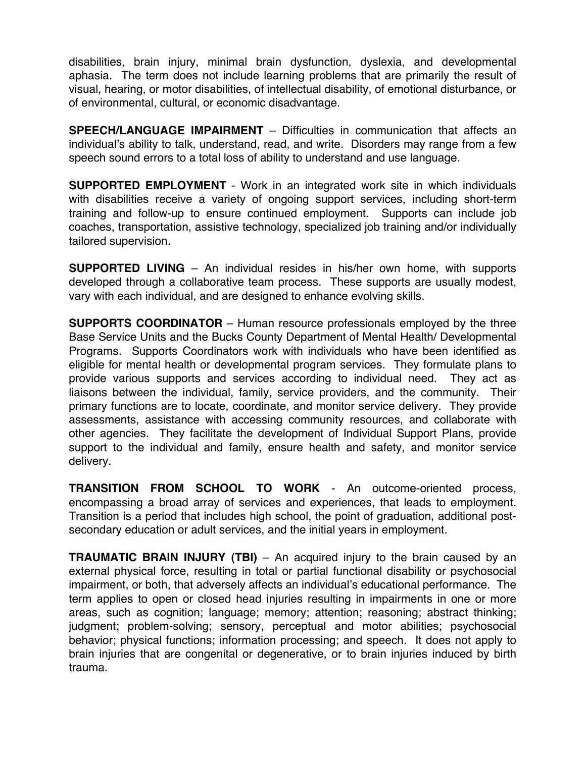disabilities, brain injury, minimal brain dysfunction, dyslexia, and developmental aphasia. The term does not include learning problems that are primarily the result of visual, hearing, or motor disabilities, of intellectual disability, of emotional disturbance, or of environmental, cultural, or economic disadvantage.

**SPEECH/LANGUAGE IMPAIRMENT** – Difficulties in communication that affects an individual's ability to talk, understand, read, and write. Disorders may range from a few speech sound errors to a total loss of ability to understand and use language.

**SUPPORTED EMPLOYMENT** - Work in an integrated work site in which individuals with disabilities receive a variety of ongoing support services, including short-term training and follow-up to ensure continued employment. Supports can include job coaches, transportation, assistive technology, specialized job training and/or individually tailored supervision.

**SUPPORTED LIVING** – An individual resides in his/her own home, with supports developed through a collaborative team process. These supports are usually modest, vary with each individual, and are designed to enhance evolving skills.

**SUPPORTS COORDINATOR** – Human resource professionals employed by the three Base Service Units and the Bucks County Department of Mental Health/ Developmental Programs. Supports Coordinators work with individuals who have been identified as eligible for mental health or developmental program services. They formulate plans to provide various supports and services according to individual need. They act as liaisons between the individual, family, service providers, and the community. Their primary functions are to locate, coordinate, and monitor service delivery. They provide assessments, assistance with accessing community resources, and collaborate with other agencies. They facilitate the development of Individual Support Plans, provide support to the individual and family, ensure health and safety, and monitor service delivery.

**TRANSITION FROM SCHOOL TO WORK** - An outcome-oriented process, encompassing a broad array of services and experiences, that leads to employment. Transition is a period that includes high school, the point of graduation, additional postsecondary education or adult services, and the initial years in employment.

**TRAUMATIC BRAIN INJURY (TBI)** – An acquired injury to the brain caused by an external physical force, resulting in total or partial functional disability or psychosocial impairment, or both, that adversely affects an individual's educational performance. The term applies to open or closed head injuries resulting in impairments in one or more areas, such as cognition; language; memory; attention; reasoning; abstract thinking; judgment; problem-solving; sensory, perceptual and motor abilities; psychosocial behavior; physical functions; information processing; and speech. It does not apply to brain injuries that are congenital or degenerative, or to brain injuries induced by birth trauma.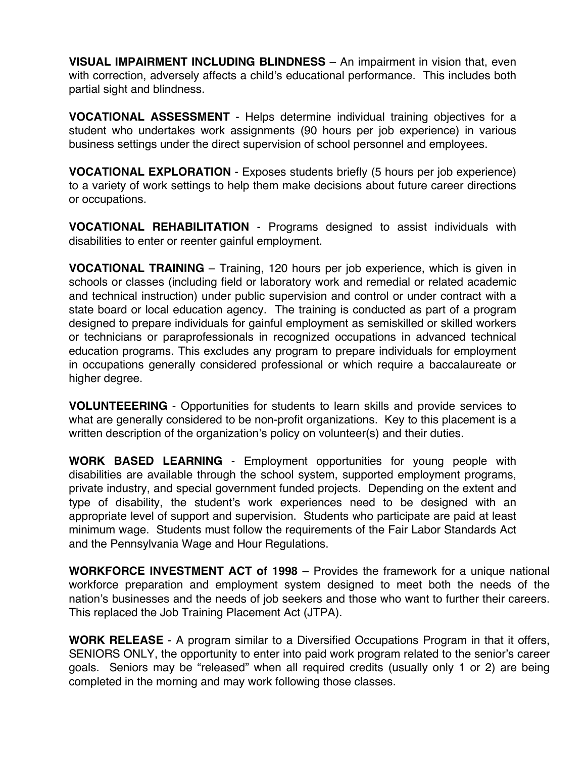**VISUAL IMPAIRMENT INCLUDING BLINDNESS** – An impairment in vision that, even with correction, adversely affects a child's educational performance. This includes both partial sight and blindness.

**VOCATIONAL ASSESSMENT** - Helps determine individual training objectives for a student who undertakes work assignments (90 hours per job experience) in various business settings under the direct supervision of school personnel and employees.

**VOCATIONAL EXPLORATION** - Exposes students briefly (5 hours per job experience) to a variety of work settings to help them make decisions about future career directions or occupations.

**VOCATIONAL REHABILITATION** - Programs designed to assist individuals with disabilities to enter or reenter gainful employment.

**VOCATIONAL TRAINING** – Training, 120 hours per job experience, which is given in schools or classes (including field or laboratory work and remedial or related academic and technical instruction) under public supervision and control or under contract with a state board or local education agency. The training is conducted as part of a program designed to prepare individuals for gainful employment as semiskilled or skilled workers or technicians or paraprofessionals in recognized occupations in advanced technical education programs. This excludes any program to prepare individuals for employment in occupations generally considered professional or which require a baccalaureate or higher degree.

**VOLUNTEEERING** - Opportunities for students to learn skills and provide services to what are generally considered to be non-profit organizations. Key to this placement is a written description of the organization's policy on volunteer(s) and their duties.

**WORK BASED LEARNING** - Employment opportunities for young people with disabilities are available through the school system, supported employment programs, private industry, and special government funded projects. Depending on the extent and type of disability, the student's work experiences need to be designed with an appropriate level of support and supervision. Students who participate are paid at least minimum wage. Students must follow the requirements of the Fair Labor Standards Act and the Pennsylvania Wage and Hour Regulations.

**WORKFORCE INVESTMENT ACT of 1998** – Provides the framework for a unique national workforce preparation and employment system designed to meet both the needs of the nation's businesses and the needs of job seekers and those who want to further their careers. This replaced the Job Training Placement Act (JTPA).

**WORK RELEASE** - A program similar to a Diversified Occupations Program in that it offers, SENIORS ONLY, the opportunity to enter into paid work program related to the senior's career goals. Seniors may be "released" when all required credits (usually only 1 or 2) are being completed in the morning and may work following those classes.